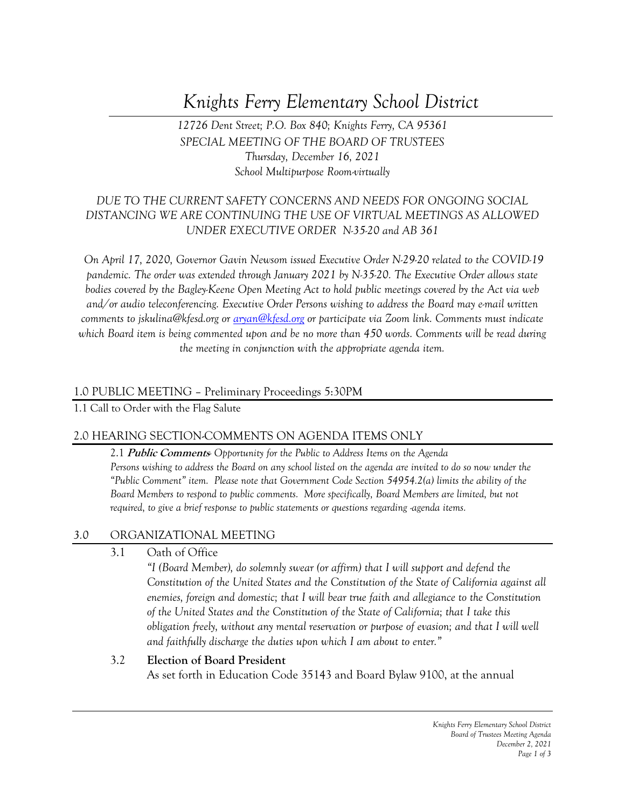# *Knights Ferry Elementary School District*

*12726 Dent Street; P.O. Box 840; Knights Ferry, CA 95361 SPECIAL MEETING OF THE BOARD OF TRUSTEES Thursday, December 16, 2021 School Multipurpose Room-virtually*

#### *DUE TO THE CURRENT SAFETY CONCERNS AND NEEDS FOR ONGOING SOCIAL DISTANCING WE ARE CONTINUING THE USE OF VIRTUAL MEETINGS AS ALLOWED UNDER EXECUTIVE ORDER N-35-20 and AB 361*

*On April 17, 2020, Governor Gavin Newsom issued Executive Order N-29-20 related to the COVID-19 pandemic. The order was extended through January 2021 by N-35-20. The Executive Order allows state bodies covered by the Bagley-Keene Open Meeting Act to hold public meetings covered by the Act via web and/or audio teleconferencing. Executive Order Persons wishing to address the Board may e-mail written comments to jskulina@kfesd.org or [aryan@kfesd.org](mailto:aryan@kfesd.org) or participate via Zoom link. Comments must indicate which Board item is being commented upon and be no more than 450 words. Comments will be read during the meeting in conjunction with the appropriate agenda item.* 

#### 1.0 PUBLIC MEETING – Preliminary Proceedings 5:30PM

1.1 Call to Order with the Flag Salute

#### 2.0 HEARING SECTION-COMMENTS ON AGENDA ITEMS ONLY

2.1 **Public Comments***- Opportunity for the Public to Address Items on the Agenda Persons wishing to address the Board on any school listed on the agenda are invited to do so now under the "Public Comment" item. Please note that Government Code Section 54954.2(a) limits the ability of the Board Members to respond to public comments. More specifically, Board Members are limited, but not required, to give a brief response to public statements or questions regarding -agenda items.*

#### *3.0* ORGANIZATIONAL MEETING

3.1 Oath of Office

*"I (Board Member), do solemnly swear (or affirm) that I will support and defend the Constitution of the United States and the Constitution of the State of California against all enemies, foreign and domestic; that I will bear true faith and allegiance to the Constitution of the United States and the Constitution of the State of California; that I take this obligation freely, without any mental reservation or purpose of evasion; and that I will well and faithfully discharge the duties upon which I am about to enter."*

#### 3.2 **Election of Board President** As set forth in Education Code 35143 and Board Bylaw 9100, at the annual